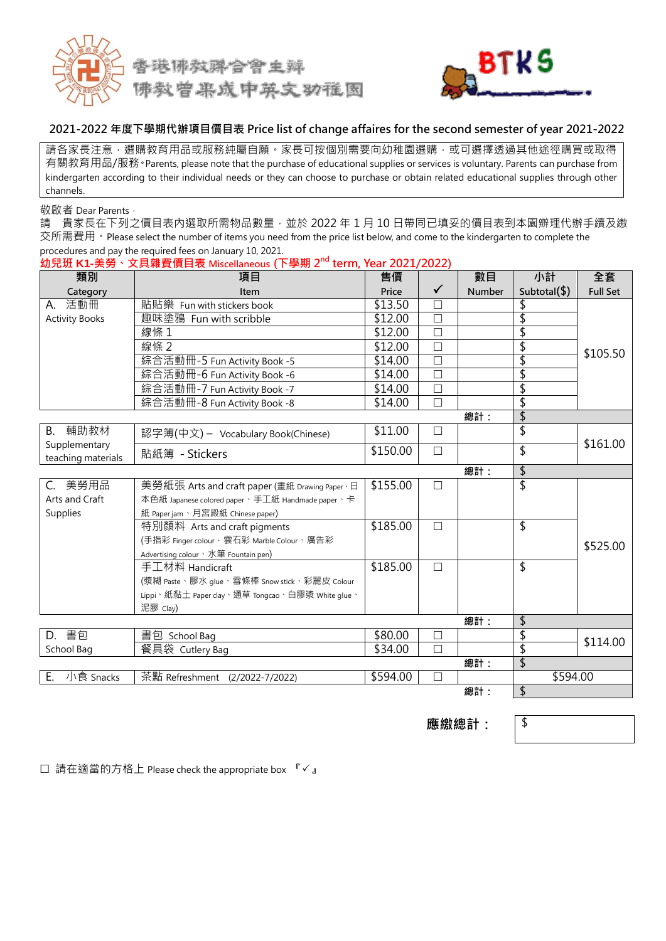



#### **2021-2022 年度下學期代辦項目價目表 Price list of change affaires for the second semester of year 2021-2022**

請各家長注意,選購教育用品或服務純屬自願。家長可按個別需要向幼稚園選購,或可選擇透過其他途徑購買或取得 有關教育用品/服務。Parents, please note that the purchase of educational supplies or services is voluntary. Parents can purchase from kindergarten according to their individual needs or they can choose to purchase or obtain related educational supplies through other channels.

敬啟者 Dear Parents,

請 貴家長在下列之價目表內選取所需物品數量,並於 2022 年 1 月 10 日帶同已填妥的價目表到本園辧理代辦手續及繳 交所需費用。Please select the number of items you need from the price list below, and come to the kindergarten to complete the procedures and pay the required fees on January 10, 2021.

| 類別                                  | 項目                                              | 售價       |              | 數目     | 小計                        | 全套              |
|-------------------------------------|-------------------------------------------------|----------|--------------|--------|---------------------------|-----------------|
| Category                            | Item                                            | Price    | $\checkmark$ | Number | Subtotal $(\$)$           | <b>Full Set</b> |
| A. 活動冊                              | 貼貼樂 Fun with stickers book                      | \$13.50  | П            |        |                           |                 |
| <b>Activity Books</b>               | 趣味塗鴉 Fun with scribble                          | \$12.00  | $\Box$       |        | \$                        |                 |
|                                     | 線條 1                                            | \$12.00  | $\Box$       |        | \$                        |                 |
|                                     | 線條 2                                            | \$12.00  | $\Box$       |        | \$                        |                 |
|                                     | 綜合活動冊-5 Fun Activity Book -5                    | \$14.00  | $\Box$       |        | \$                        | \$105.50        |
|                                     | 綜合活動冊-6 Fun Activity Book -6                    | \$14.00  | $\Box$       |        | \$                        |                 |
|                                     | 綜合活動冊-7 Fun Activity Book -7                    | \$14.00  | $\Box$       |        | \$                        |                 |
|                                     | 綜合活動冊-8 Fun Activity Book -8                    | \$14.00  | $\Box$       |        | \$                        |                 |
|                                     |                                                 |          |              | 總計:    | \$                        |                 |
| 輔助教材<br>B.                          | 認字簿(中文) - Vocabulary Book(Chinese)              | \$11.00  | $\Box$       |        | $\overline{\mathsf{S}}$   |                 |
| Supplementary<br>teaching materials | 貼紙簿 - Stickers                                  | \$150.00 | $\Box$       |        | \$                        | \$161.00        |
|                                     |                                                 |          |              | 總計:    | $\boldsymbol{\mathsf{S}}$ |                 |
| C. 美勞用品                             | 美勞紙張 Arts and craft paper (畫紙 Drawing Paper · 日 | \$155.00 | $\Box$       |        | \$                        |                 |
| Arts and Craft                      | 本色紙 Japanese colored paper、手工紙 Handmade paper、卡 |          |              |        |                           |                 |
| Supplies                            | 紙 Paper jam、月宮殿紙 Chinese paper)                 |          |              |        |                           |                 |
|                                     | 特別顏料 Arts and craft pigments                    | \$185.00 | $\Box$       |        | \$                        |                 |
|                                     | (手指彩 Finger colour, 雲石彩 Marble Colour、廣告彩       |          |              |        |                           | \$525.00        |
|                                     | Advertising colour 、水筆 Fountain pen)            |          |              |        |                           |                 |
|                                     | 手工材料 Handicraft                                 | \$185.00 | $\Box$       |        | \$                        |                 |
|                                     | (漿糊 Paste、膠水 glue、雪條棒 Snow stick、彩麗皮 Colour     |          |              |        |                           |                 |
|                                     | Lippi、紙黏土 Paper clay、通草 Tongcao、白膠漿 White glue、 |          |              |        |                           |                 |
|                                     | 泥膠 Clay)                                        |          |              |        |                           |                 |
|                                     |                                                 |          |              | 總計:    | \$                        |                 |
| D. 書包                               | 書包 School Bag                                   | \$80.00  | $\Box$       |        | \$                        | \$114.00        |
| School Bag                          | 餐具袋 Cutlery Bag                                 | \$34.00  | $\Box$       |        | \$                        |                 |
|                                     |                                                 |          |              | 總計:    | \$                        |                 |
| 小食 Snacks<br>Ε.                     | 茶點 Refreshment (2/2022-7/2022)                  | \$594.00 | $\Box$       |        | \$594.00                  |                 |
|                                     |                                                 |          |              | 總計:    | \$                        |                 |

**幼兒班 K1-美勞、文具雜費價目表 Miscellaneous (下學期 2 nd term, Year 2021/2022)**

**應繳總計:** \$

□ 請在適當的方格上 Please check the appropriate box 『√』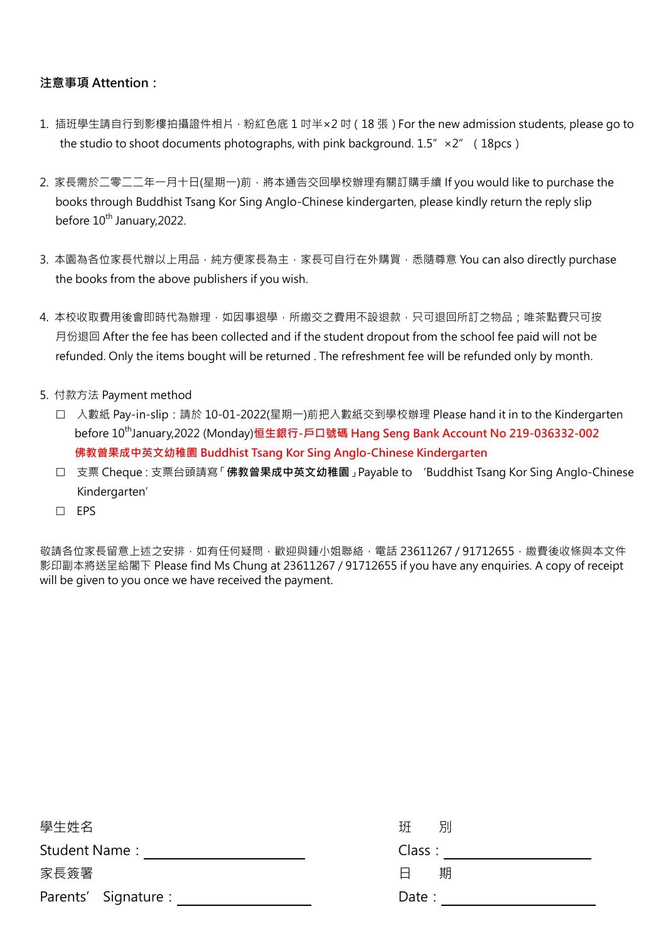# **注意事項 Attention:**

- 1. 插班學生請自行到影樓拍攝證件相片, 粉紅色底 1 吋半×2 吋 (18 張) For the new admission students, please go to the studio to shoot documents photographs, with pink background,  $1.5'' \times 2''$  (18pcs)
- 2. 家長需於二零二二年一月十日(星期一)前,將本通告交回學校辦理有關訂購手續 If you would like to purchase the books through Buddhist Tsang Kor Sing Anglo-Chinese kindergarten, please kindly return the reply slip before 10<sup>th</sup> January,2022.
- 3. 本園為各位家長代辦以上用品,純方便家長為主,家長可自行在外購買,悉隨尊意 You can also directly purchase the books from the above publishers if you wish.
- 4. 本校收取費用後會即時代為辦理,如因事退學,所繳交之費用不設退款,只可退回所訂之物品;唯茶點費只可按 月份退回 After the fee has been collected and if the student dropout from the school fee paid will not be refunded. Only the items bought will be returned . The refreshment fee will be refunded only by month.
- 5. 付款方法 Payment method
	- □ 入數紙 Pay-in-slip:請於 10-01-2022(星期一)前把入數紙交到學校辦理 Please hand it in to the Kindergarten before 10 thJanuary,2022 (Monday)**恒生銀行-戶口號碼 Hang Seng Bank Account No 219-036332-002 佛教曾果成中英文幼稚園 Buddhist Tsang Kor Sing Anglo-Chinese Kindergarten**
	- 支票 Cheque:支票台頭請寫「**佛教曾果成中英文幼稚園**」Payable to 'Buddhist Tsang Kor Sing Anglo-Chinese Kindergarten'
	- $\square$  EPS

敬請各位家長留意上述之安排,如有任何疑問,歡迎與鍾小姐聯絡,電話 23611267 / 91712655, 繳費後收條與本文件 影印副本將送呈給閣下 Please find Ms Chung at 23611267 / 91712655 if you have any enquiries. A copy of receipt will be given to you once we have received the payment.

| 學生姓名                 | 班<br>別 |
|----------------------|--------|
| Student Name:        | Class: |
| 家長簽署                 | 期<br>A |
| Parents' Signature : | Date : |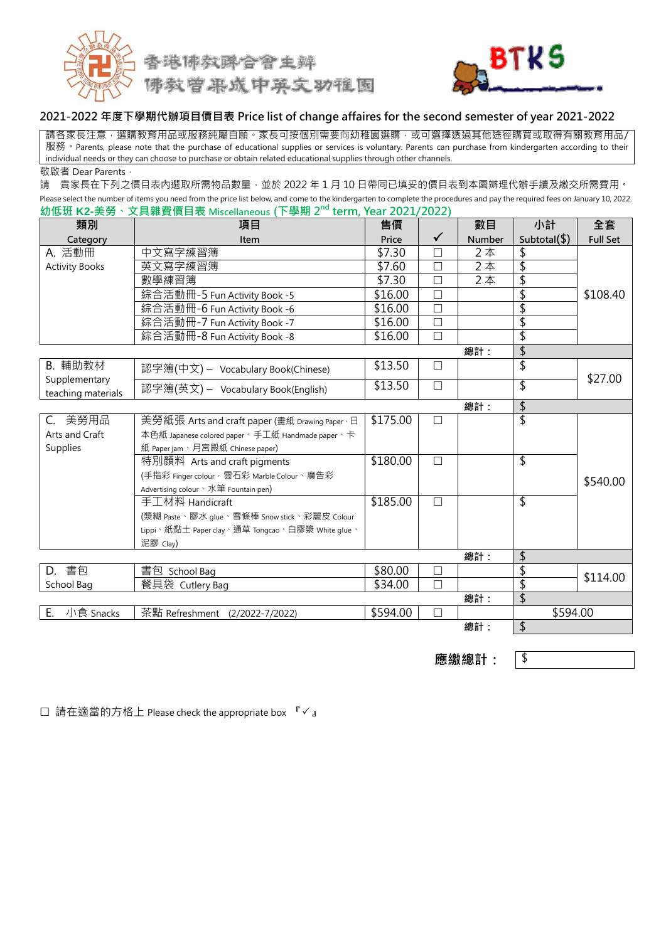



#### **2021-2022 年度下學期代辦項目價目表 Price list of change affaires for the second semester of year 2021-2022**

請各家長注意,選購教育用品或服務純屬自願。家長可按個別需要向幼稚園選購,或可選擇透過其他途徑購買或取得有關教育用品/ 服務 • Parents, please note that the purchase of educational supplies or services is voluntary. Parents can purchase from kindergarten according to their individual needs or they can choose to purchase or obtain related educational supplies through other channels. 敬啟者 Dear Parents,

請 貴家長在下列之價目表內選取所需物品數量,並於 2022 年 1 月 10 日帶同已填妥的價目表到本園辧理代辦手續及繳交所需費用。 Please select the number of items you need from the price list below, and come to the kindergarten to complete the procedures and pay the required fees on January 10, 2022. **IF BUT 2<sup>nd</sup> term, Year 2021/20** 

| 幼低班 K2-美勞、文具雜費價目表 Miscellaneous (下學期 2 <sup>nd</sup> term, Year 2021/2022) |                                                 |          |              |                                      |                 |                 |
|----------------------------------------------------------------------------|-------------------------------------------------|----------|--------------|--------------------------------------|-----------------|-----------------|
| 類別                                                                         | 項目                                              | 售價       |              | 數目                                   | 小計              | 全套              |
| Category                                                                   | Item                                            | Price    | $\checkmark$ | <b>Number</b>                        | Subtotal $(\$)$ | <b>Full Set</b> |
| A. 活動冊                                                                     | 中文寫字練習簿                                         | \$7.30   | $\Box$       | 2本                                   | \$              |                 |
| <b>Activity Books</b>                                                      | 英文寫字練習簿                                         | \$7.60   | $\Box$       | $\overline{2}$ $\overline{\uparrow}$ | \$              |                 |
|                                                                            | 數學練習簿                                           | \$7.30   | $\Box$       | 2本                                   | \$              |                 |
|                                                                            | 綜合活動冊-5 Fun Activity Book -5                    | \$16.00  | $\Box$       |                                      | \$              | \$108.40        |
|                                                                            | 綜合活動冊-6 Fun Activity Book -6                    | \$16.00  | $\Box$       |                                      | \$              |                 |
|                                                                            | 綜合活動冊-7 Fun Activity Book -7                    | \$16.00  | $\Box$       |                                      | \$              |                 |
|                                                                            | 綜合活動冊-8 Fun Activity Book -8                    | \$16.00  | $\Box$       |                                      | \$              |                 |
|                                                                            |                                                 |          |              | 總計:                                  | \$              |                 |
| B. 輔助教材                                                                    | 認字簿(中文) - Vocabulary Book(Chinese)              | \$13.50  | $\Box$       |                                      | \$              |                 |
| Supplementary<br>teaching materials                                        | 認字簿(英文) - Vocabulary Book(English)              | \$13.50  | $\Box$       |                                      | \$              | \$27.00         |
|                                                                            |                                                 |          |              | 總計:                                  | \$              |                 |
| C. 美勞用品                                                                    | 美勞紙張 Arts and craft paper (畫紙 Drawing Paper · 日 | \$175.00 | $\Box$       |                                      | \$              |                 |
| Arts and Craft                                                             | 本色紙 Japanese colored paper、手工紙 Handmade paper、卡 |          |              |                                      |                 |                 |
| Supplies                                                                   | 紙 Paper jam、月宮殿紙 Chinese paper)                 |          |              |                                      |                 |                 |
|                                                                            | 特別顏料 Arts and craft pigments                    | \$180.00 | $\Box$       |                                      | \$              |                 |
|                                                                            | (手指彩 Finger colour, 雲石彩 Marble Colour、廣告彩       |          |              |                                      |                 | \$540.00        |
|                                                                            | Advertising colour、水筆 Fountain pen)             |          |              |                                      |                 |                 |
|                                                                            | 手工材料 Handicraft                                 | \$185.00 | $\Box$       |                                      | \$              |                 |
|                                                                            | (漿糊 Paste、膠水 glue、雪條棒 Snow stick、彩麗皮 Colour     |          |              |                                      |                 |                 |
|                                                                            | Lippi、紙黏土 Paper clay、通草 Tongcao、白膠漿 White glue、 |          |              |                                      |                 |                 |
|                                                                            | 泥膠 Clay)                                        |          |              |                                      |                 |                 |
| 總計:                                                                        |                                                 |          |              |                                      | \$              |                 |
| D. 書包                                                                      | 書包 School Bag                                   | \$80.00  | $\Box$       |                                      | \$              | \$114.00        |
| School Bag                                                                 | 餐具袋 Cutlery Bag                                 | \$34.00  | $\Box$       |                                      | \$              |                 |
|                                                                            |                                                 |          |              | 總計:                                  | \$              |                 |
| E.<br>小食 Snacks                                                            | 茶點 Refreshment (2/2022-7/2022)                  | \$594.00 | $\Box$       |                                      | \$594.00        |                 |
|                                                                            |                                                 |          |              | 總計:                                  | \$              |                 |

應繳總計: <sup>|\$</sup>

□ 請在適當的方格上 Please check the appropriate box 『√』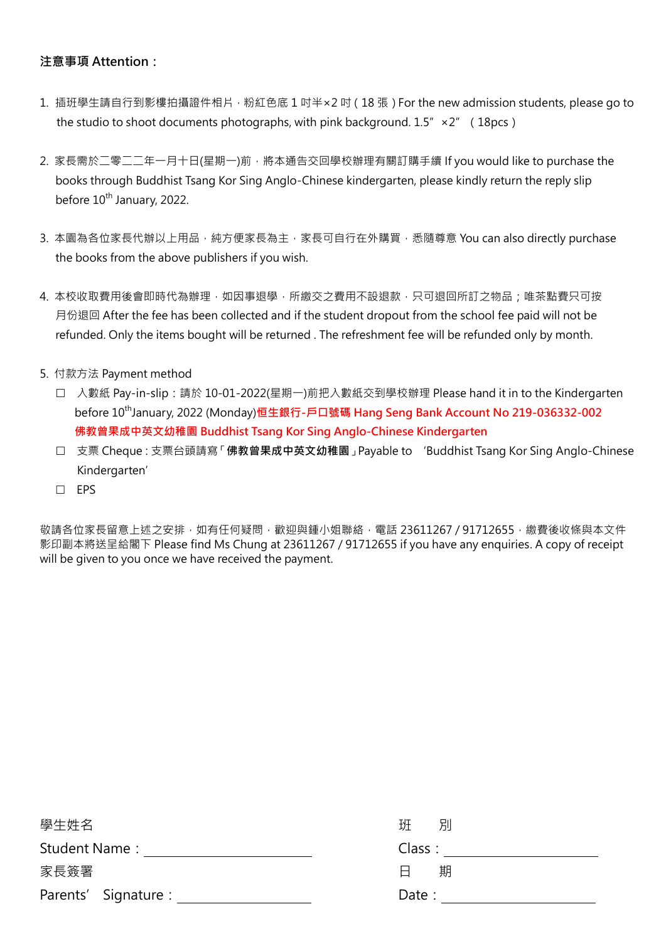# **注意事項 Attention:**

- 1. 插班學生請自行到影樓拍攝證件相片, 粉紅色底 1 吋半×2 吋 (18 張) For the new admission students, please go to the studio to shoot documents photographs, with pink background.  $1.5'' \times 2''$  (18pcs)
- 2. 家長需於二零二二年一月十日(星期一)前,將本通告交回學校辦理有關訂購手續 If you would like to purchase the books through Buddhist Tsang Kor Sing Anglo-Chinese kindergarten, please kindly return the reply slip before 10<sup>th</sup> January, 2022.
- 3. 本園為各位家長代辦以上用品,純方便家長為主,家長可自行在外購買,悉隨尊意 You can also directly purchase the books from the above publishers if you wish.
- 4. 本校收取費用後會即時代為辦理,如因事退學,所繳交之費用不設退款,只可退回所訂之物品;唯茶點費只可按 月份退回 After the fee has been collected and if the student dropout from the school fee paid will not be refunded. Only the items bought will be returned . The refreshment fee will be refunded only by month.
- 5. 付款方法 Payment method
	- □ 入數紙 Pay-in-slip:請於 10-01-2022(星期一)前把入數紙交到學校辦理 Please hand it in to the Kindergarten before 10 thJanuary, 2022 (Monday)**恒生銀行-戶口號碼 Hang Seng Bank Account No 219-036332-002 佛教曾果成中英文幼稚園 Buddhist Tsang Kor Sing Anglo-Chinese Kindergarten**
	- 支票 Cheque:支票台頭請寫「**佛教曾果成中英文幼稚園**」Payable to 'Buddhist Tsang Kor Sing Anglo-Chinese Kindergarten'
	- $\Box$  EPS

敬請各位家長留意上述之安排,如有任何疑問,歡迎與鍾小姐聯絡,電話 23611267 / 91712655, 繳費後收條與本文件 影印副本將送呈給閣下 Please find Ms Chung at 23611267 / 91712655 if you have any enquiries. A copy of receipt will be given to you once we have received the payment.

| 學生姓名                 | 班<br>別 |
|----------------------|--------|
| Student Name:        | Class: |
| 家長簽署                 | 期<br>Н |
| Parents' Signature : | Date:  |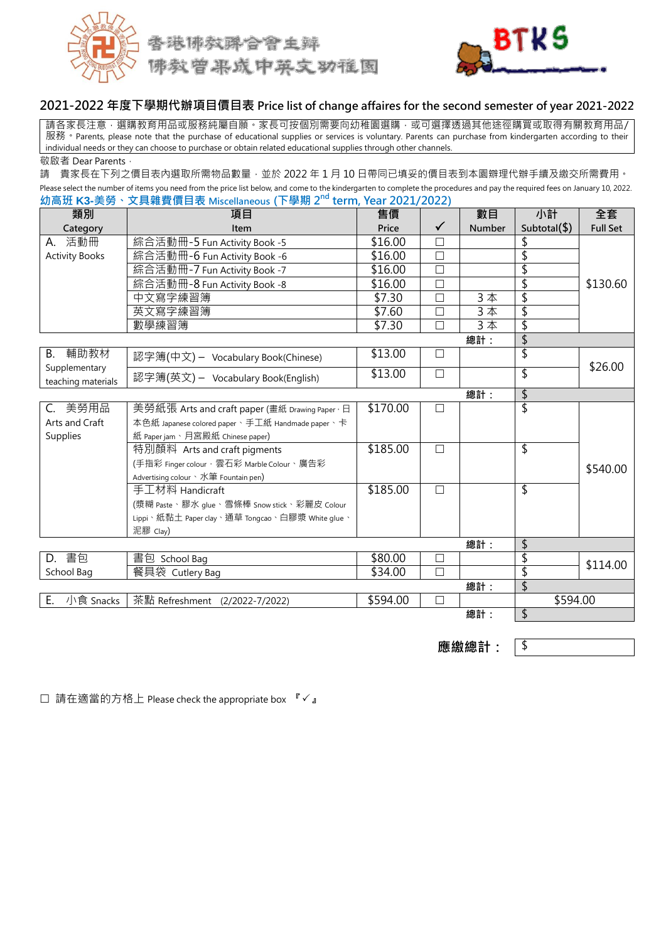



# **2021-2022 年度下學期代辦項目價目表 Price list of change affaires for the second semester of year 2021-2022**

請各家長注意,選購教育用品或服務純屬自願。家長可按個別需要向幼稚園選購,或可選擇透過其他途徑購買或取得有關教育用品/ 服務 • Parents, please note that the purchase of educational supplies or services is voluntary. Parents can purchase from kindergarten according to their individual needs or they can choose to purchase or obtain related educational supplies through other channels. 敬啟者 Dear Parents,

請 貴家長在下列之價目表內選取所需物品數量,並於 2022 年 1 月 10 日帶同已填妥的價目表到本園辧理代辦手續及繳交所需費用。 Please select the number of items you need from the price list below, and come to the kindergarten to complete the procedures and pay the required fees on January 10, 2022.

| 幼高班 K3-美勞、文具雜費價目表 Miscellaneous (下學期 2 <sup>nd</sup> term, Year 2021/2022) |                                                 |          |              |                         |                 |                 |
|----------------------------------------------------------------------------|-------------------------------------------------|----------|--------------|-------------------------|-----------------|-----------------|
| 類別                                                                         | 項目                                              | 售價       |              | 數目                      | 小計              | 全套              |
| Category                                                                   | Item                                            | Price    | $\checkmark$ | Number                  | Subtotal $(\$)$ | <b>Full Set</b> |
| A. 活動冊                                                                     | 綜合活動冊-5 Fun Activity Book -5                    | \$16.00  | □            |                         | \$              |                 |
| <b>Activity Books</b>                                                      | 綜合活動冊-6 Fun Activity Book -6                    | \$16.00  | $\Box$       |                         | \$              |                 |
|                                                                            | 綜合活動冊-7 Fun Activity Book -7                    | \$16.00  | $\Box$       |                         | \$              |                 |
|                                                                            | 綜合活動冊-8 Fun Activity Book -8                    | \$16.00  | П            |                         | \$              | \$130.60        |
|                                                                            | 中文寫字練習簿                                         | \$7.30   | $\Box$       | 3本                      | \$              |                 |
|                                                                            | 英文寫字練習簿                                         | \$7.60   | $\Box$       | 3本                      | \$              |                 |
|                                                                            | 數學練習簿                                           | \$7.30   | П            |                         | \$              |                 |
|                                                                            |                                                 |          |              | 總計:                     | \$              |                 |
| B. 輔助教材                                                                    | 認字簿(中文) - Vocabulary Book(Chinese)              | \$13.00  | $\Box$       |                         | \$              | \$26.00         |
| Supplementary<br>teaching materials                                        | 認字簿(英文) - Vocabulary Book(English)              | \$13.00  | $\Box$       |                         | \$              |                 |
|                                                                            |                                                 |          |              | 總計:                     | \$              |                 |
| C. 美勞用品                                                                    | 美勞紙張 Arts and craft paper (畫紙 Drawing Paper · 日 | \$170.00 | □            |                         | \$              |                 |
| Arts and Craft                                                             | 本色紙 Japanese colored paper、手工紙 Handmade paper、卡 |          |              |                         |                 |                 |
| Supplies                                                                   | 紙 Paper jam、月宮殿紙 Chinese paper)                 |          |              |                         |                 |                 |
|                                                                            | 特別顏料 Arts and craft pigments                    | \$185.00 | $\Box$       |                         | \$              |                 |
|                                                                            | (手指彩 Finger colour, 雲石彩 Marble Colour、廣告彩       |          |              |                         |                 | \$540.00        |
|                                                                            | Advertising colour、水筆 Fountain pen)             |          |              |                         |                 |                 |
|                                                                            | 手工材料 Handicraft                                 | \$185.00 | $\Box$       |                         | \$              |                 |
|                                                                            | (漿糊 Paste、膠水 glue、雪條棒 Snow stick、彩麗皮 Colour     |          |              |                         |                 |                 |
|                                                                            | Lippi、紙黏土 Paper clay、通草 Tongcao、白膠漿 White glue、 |          |              |                         |                 |                 |
|                                                                            | 泥膠 Clay)                                        |          |              |                         |                 |                 |
|                                                                            |                                                 |          |              | 總計:                     | \$              |                 |
| D. 書包                                                                      | 書包 School Bag                                   | \$80.00  | $\Box$       |                         | \$              | \$114.00        |
| School Bag                                                                 | 餐具袋 Cutlery Bag                                 | \$34.00  | □            |                         | \$              |                 |
| 總計:                                                                        |                                                 |          |              | $\overline{\mathsf{S}}$ |                 |                 |
| E.<br>小食 Snacks                                                            | 茶點 Refreshment (2/2022-7/2022)                  | \$594.00 | П            |                         | \$594.00        |                 |
|                                                                            |                                                 |          |              | 總計:                     | \$              |                 |

應繳總計: <sup>| \$</sup>

□ 請在適當的方格上 Please check the appropriate box 『√』